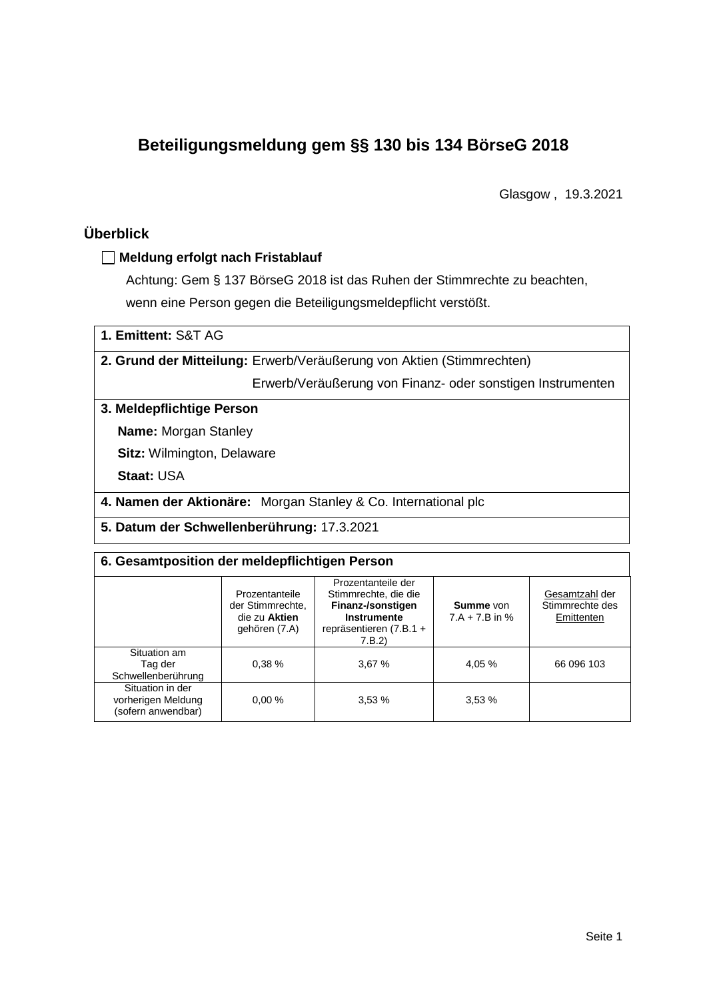# **Beteiligungsmeldung gem §§ 130 bis 134 BörseG 2018**

Glasgow , 19.3.2021

## **Überblick**

#### **Meldung erfolgt nach Fristablauf**

Achtung: Gem § 137 BörseG 2018 ist das Ruhen der Stimmrechte zu beachten, wenn eine Person gegen die Beteiligungsmeldepflicht verstößt.

| 1. Emittent: S&T AG |  |  |
|---------------------|--|--|
|---------------------|--|--|

**2. Grund der Mitteilung:** Erwerb/Veräußerung von Aktien (Stimmrechten)

Erwerb/Veräußerung von Finanz- oder sonstigen Instrumenten

#### **3. Meldepflichtige Person**

**Name:** Morgan Stanley

**Sitz:** Wilmington, Delaware

**Staat:** USA

**4. Namen der Aktionäre:** Morgan Stanley & Co. International plc

**5. Datum der Schwellenberührung:** 17.3.2021

#### **6. Gesamtposition der meldepflichtigen Person**

|                                                              | Prozentanteile<br>der Stimmrechte.<br>die zu Aktien<br>gehören (7.A) | Prozentanteile der<br>Stimmrechte, die die<br>Finanz-/sonstigen<br>Instrumente<br>repräsentieren (7.B.1 +<br>7.B.2) | Summe von<br>$7.A + 7.B$ in % | Gesamtzahl der<br>Stimmrechte des<br>Emittenten |  |  |
|--------------------------------------------------------------|----------------------------------------------------------------------|---------------------------------------------------------------------------------------------------------------------|-------------------------------|-------------------------------------------------|--|--|
| Situation am<br>Tag der<br>Schwellenberührung                | 0.38%                                                                | 3,67%                                                                                                               | 4,05 %                        | 66 096 103                                      |  |  |
| Situation in der<br>vorherigen Meldung<br>(sofern anwendbar) | 0.00%                                                                | 3,53%                                                                                                               | 3,53%                         |                                                 |  |  |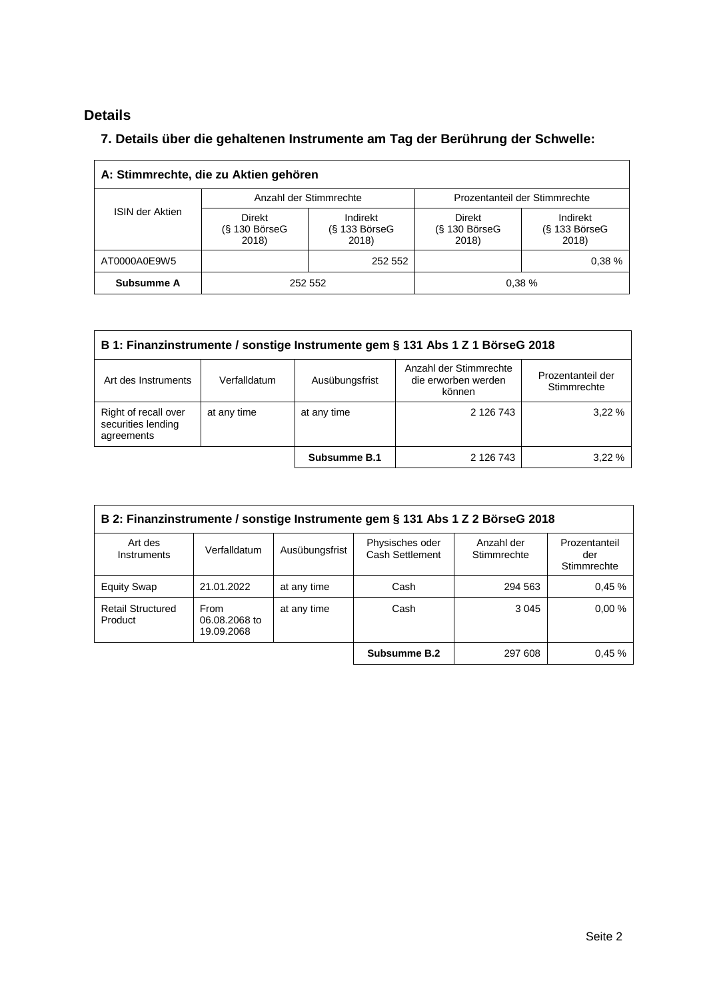## **Details**

 $\overline{\Gamma}$ 

### **7. Details über die gehaltenen Instrumente am Tag der Berührung der Schwelle:**

| A: Stimmrechte, die zu Aktien gehören |                                    |                                      |                                              |                                         |  |  |
|---------------------------------------|------------------------------------|--------------------------------------|----------------------------------------------|-----------------------------------------|--|--|
| <b>ISIN der Aktien</b>                |                                    | Anzahl der Stimmrechte               | Prozentanteil der Stimmrechte                |                                         |  |  |
|                                       | Direkt<br>$(S$ 130 BörseG<br>2018) | Indirekt<br>$(S$ 133 BörseG<br>2018) | <b>Direkt</b><br>$(S$ 130 Börse $G$<br>2018) | Indirekt<br>$(S$ 133 Börse $G$<br>2018) |  |  |
| AT0000A0E9W5                          |                                    | 252 552                              |                                              | 0.38%                                   |  |  |
| Subsumme A                            | 252 552                            |                                      |                                              | 0.38%                                   |  |  |

| B 1: Finanzinstrumente / sonstige Instrumente gem § 131 Abs 1 Z 1 BörseG 2018 |              |                |                                                         |                                  |  |
|-------------------------------------------------------------------------------|--------------|----------------|---------------------------------------------------------|----------------------------------|--|
| Art des Instruments                                                           | Verfalldatum | Ausübungsfrist | Anzahl der Stimmrechte<br>die erworben werden<br>können | Prozentanteil der<br>Stimmrechte |  |
| Right of recall over<br>securities lending<br>agreements                      | at any time  | at any time    | 2 126 743                                               | 3.22%                            |  |
|                                                                               |              | Subsumme B.1   | 2 126 743                                               | 3.22%                            |  |

| B 2: Finanzinstrumente / sonstige Instrumente gem § 131 Abs 1 Z 2 BörseG 2018 |                                     |                |                                    |                           |                                     |  |
|-------------------------------------------------------------------------------|-------------------------------------|----------------|------------------------------------|---------------------------|-------------------------------------|--|
| Art des<br>Instruments                                                        | Verfalldatum                        | Ausübungsfrist | Physisches oder<br>Cash Settlement | Anzahl der<br>Stimmrechte | Prozentanteil<br>der<br>Stimmrechte |  |
| <b>Equity Swap</b>                                                            | 21.01.2022                          | at any time    | Cash                               | 294 563                   | 0.45%                               |  |
| <b>Retail Structured</b><br>Product                                           | From<br>06.08.2068 to<br>19.09.2068 | at any time    | Cash                               | 3 0 4 5                   | 0.00%                               |  |
|                                                                               |                                     |                | Subsumme B.2                       | 297 608                   | 0.45%                               |  |

 $\overline{\phantom{a}}$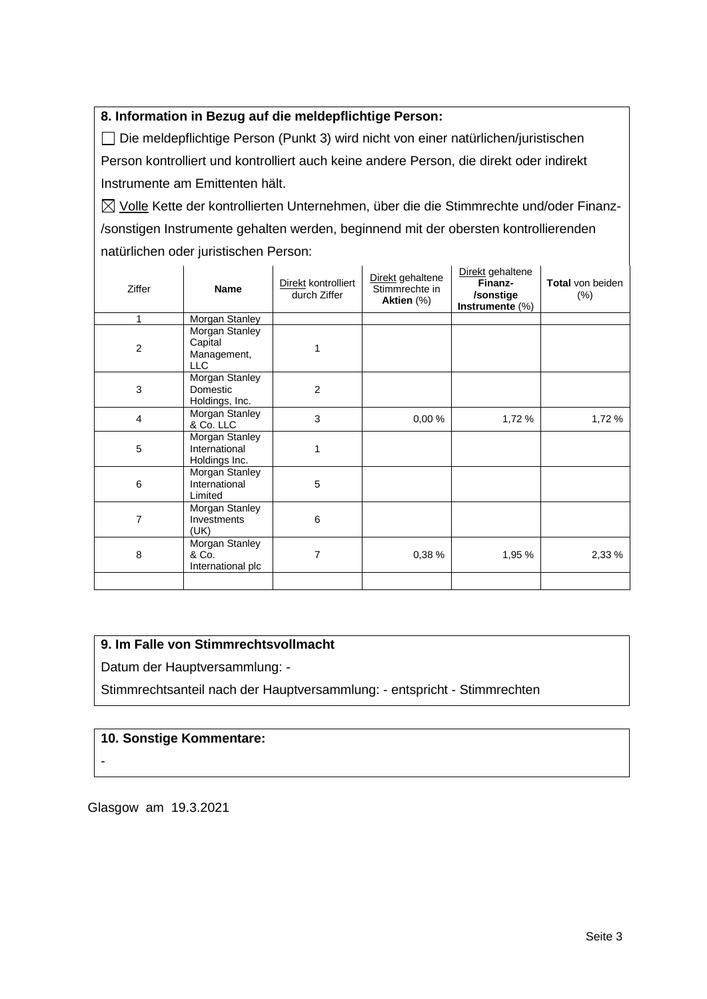#### **8. Information in Bezug auf die meldepflichtige Person:**

Die meldepflichtige Person (Punkt 3) wird nicht von einer natürlichen/juristischen Person kontrolliert und kontrolliert auch keine andere Person, die direkt oder indirekt Instrumente am Emittenten hält.

 $\boxtimes$  Volle Kette der kontrollierten Unternehmen, über die die Stimmrechte und/oder Finanz-/sonstigen Instrumente gehalten werden, beginnend mit der obersten kontrollierenden natürlichen oder juristischen Person:

| Ziffer         | Name                                             | Direkt kontrolliert<br>durch Ziffer | Direkt gehaltene<br>Stimmrechte in<br>Aktien (%) | Direkt gehaltene<br>Finanz-<br>/sonstige<br>Instrumente $(\%)$ | <b>Total von beiden</b><br>$(\% )$ |
|----------------|--------------------------------------------------|-------------------------------------|--------------------------------------------------|----------------------------------------------------------------|------------------------------------|
| 1              | Morgan Stanley                                   |                                     |                                                  |                                                                |                                    |
| $\overline{2}$ | Morgan Stanley<br>Capital<br>Management,<br>LLC  |                                     |                                                  |                                                                |                                    |
| 3              | Morgan Stanley<br>Domestic<br>Holdings, Inc.     | 2                                   |                                                  |                                                                |                                    |
| 4              | Morgan Stanley<br>& Co. LLC                      | 3                                   | 0,00%                                            | 1,72 %                                                         | 1,72 %                             |
| 5              | Morgan Stanley<br>International<br>Holdings Inc. | 1                                   |                                                  |                                                                |                                    |
| 6              | Morgan Stanley<br>International<br>Limited       | 5                                   |                                                  |                                                                |                                    |
| 7              | Morgan Stanley<br>Investments<br>(UK)            | 6                                   |                                                  |                                                                |                                    |
| 8              | Morgan Stanley<br>& Co.<br>International plc     | 7                                   | 0,38 %                                           | 1,95 %                                                         | 2,33 %                             |
|                |                                                  |                                     |                                                  |                                                                |                                    |

#### **9. Im Falle von Stimmrechtsvollmacht**

Datum der Hauptversammlung: -

Stimmrechtsanteil nach der Hauptversammlung: - entspricht - Stimmrechten

#### **10. Sonstige Kommentare:**

-

Glasgow am 19.3.2021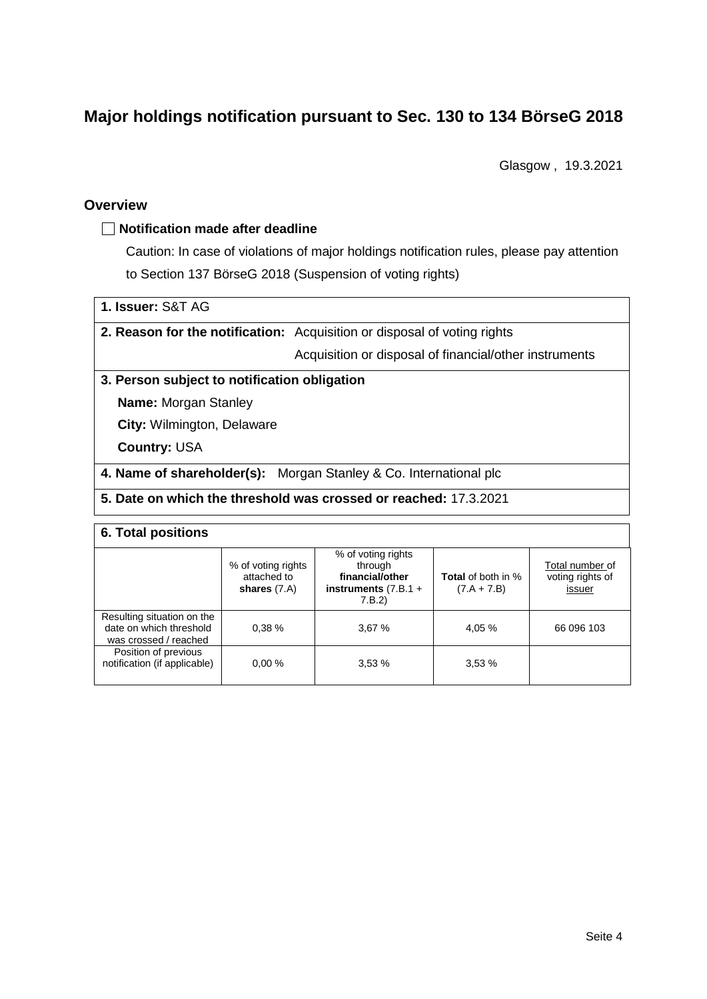# **Major holdings notification pursuant to Sec. 130 to 134 BörseG 2018**

Glasgow , 19.3.2021

#### **Overview**

#### **Notification made after deadline**

Caution: In case of violations of major holdings notification rules, please pay attention to Section 137 BörseG 2018 (Suspension of voting rights)

| 1. Issuer: S&T AG |  |
|-------------------|--|
|                   |  |

**2. Reason for the notification:** Acquisition or disposal of voting rights

Acquisition or disposal of financial/other instruments

#### **3. Person subject to notification obligation**

**Name:** Morgan Stanley

**City:** Wilmington, Delaware

**Country:** USA

**4. Name of shareholder(s):** Morgan Stanley & Co. International plc

#### **5. Date on which the threshold was crossed or reached:** 17.3.2021

#### **6. Total positions**

|                                                                                | % of voting rights<br>attached to<br>shares $(7.A)$ | % of voting rights<br>through<br>financial/other<br>instruments $(7.B.1 +$<br>7.B.2) | <b>Total</b> of both in %<br>$(7.A + 7.B)$ | Total number of<br>voting rights of<br>issuer |  |  |
|--------------------------------------------------------------------------------|-----------------------------------------------------|--------------------------------------------------------------------------------------|--------------------------------------------|-----------------------------------------------|--|--|
| Resulting situation on the<br>date on which threshold<br>was crossed / reached | 0.38%                                               | 3,67%                                                                                | 4,05 %                                     | 66 096 103                                    |  |  |
| Position of previous<br>notification (if applicable)                           | 0.00%                                               | 3,53%                                                                                | 3,53%                                      |                                               |  |  |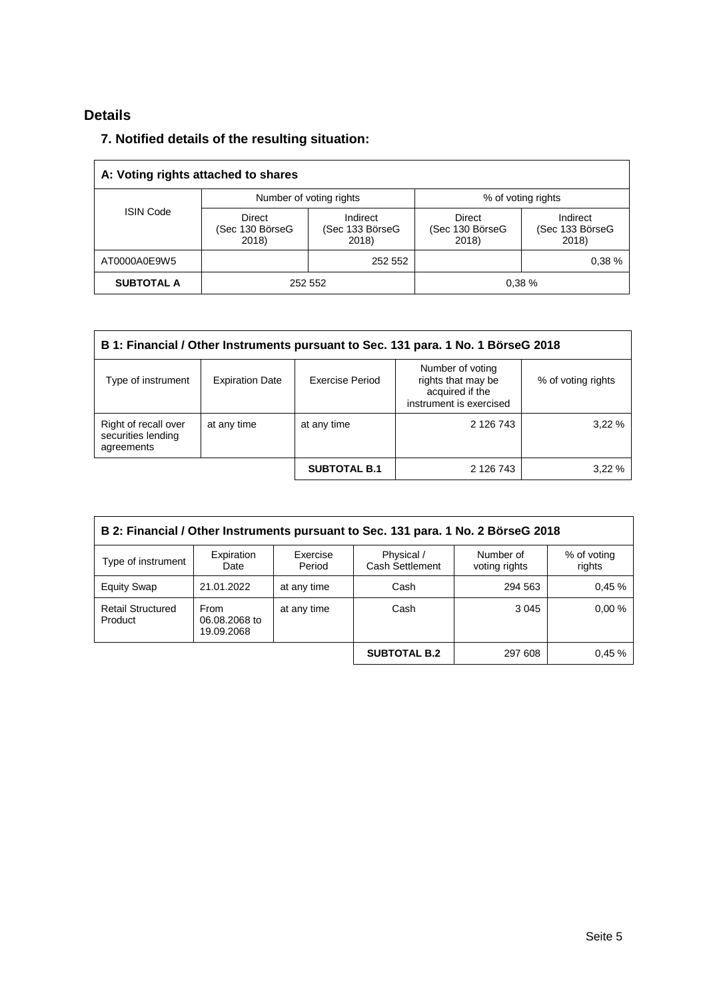## **Details**

### **7. Notified details of the resulting situation:**

| A: Voting rights attached to shares |                                    |                                      |                                    |                                      |  |
|-------------------------------------|------------------------------------|--------------------------------------|------------------------------------|--------------------------------------|--|
|                                     |                                    | Number of voting rights              | % of voting rights                 |                                      |  |
| <b>ISIN Code</b>                    | Direct<br>(Sec 130 BörseG<br>2018) | Indirect<br>(Sec 133 BörseG<br>2018) | Direct<br>(Sec 130 BörseG<br>2018) | Indirect<br>(Sec 133 BörseG<br>2018) |  |
| AT0000A0E9W5                        |                                    | 252 552                              |                                    | 0.38%                                |  |
| <b>SUBTOTAL A</b>                   | 252 552                            |                                      |                                    | 0.38%                                |  |

| B 1: Financial / Other Instruments pursuant to Sec. 131 para. 1 No. 1 BörseG 2018 |                        |                     |                                                                                      |                    |  |
|-----------------------------------------------------------------------------------|------------------------|---------------------|--------------------------------------------------------------------------------------|--------------------|--|
| Type of instrument                                                                | <b>Expiration Date</b> | Exercise Period     | Number of voting<br>rights that may be<br>acquired if the<br>instrument is exercised | % of voting rights |  |
| Right of recall over<br>securities lending<br>agreements                          | at any time            | at any time         | 2 126 743                                                                            | 3.22%              |  |
|                                                                                   |                        | <b>SUBTOTAL B.1</b> | 2 126 743                                                                            | 3.22%              |  |

| B 2: Financial / Other Instruments pursuant to Sec. 131 para. 1 No. 2 BörseG 2018 |                                     |                    |                               |                            |                       |  |
|-----------------------------------------------------------------------------------|-------------------------------------|--------------------|-------------------------------|----------------------------|-----------------------|--|
| Type of instrument                                                                | Expiration<br>Date                  | Exercise<br>Period | Physical /<br>Cash Settlement | Number of<br>voting rights | % of voting<br>rights |  |
| <b>Equity Swap</b>                                                                | 21.01.2022                          | at any time        | Cash                          | 294 563                    | 0.45%                 |  |
| <b>Retail Structured</b><br>Product                                               | From<br>06.08.2068 to<br>19.09.2068 | at any time        | Cash                          | 3 0 4 5                    | 0.00%                 |  |
|                                                                                   |                                     |                    | <b>SUBTOTAL B.2</b>           | 297 608                    | 0.45%                 |  |